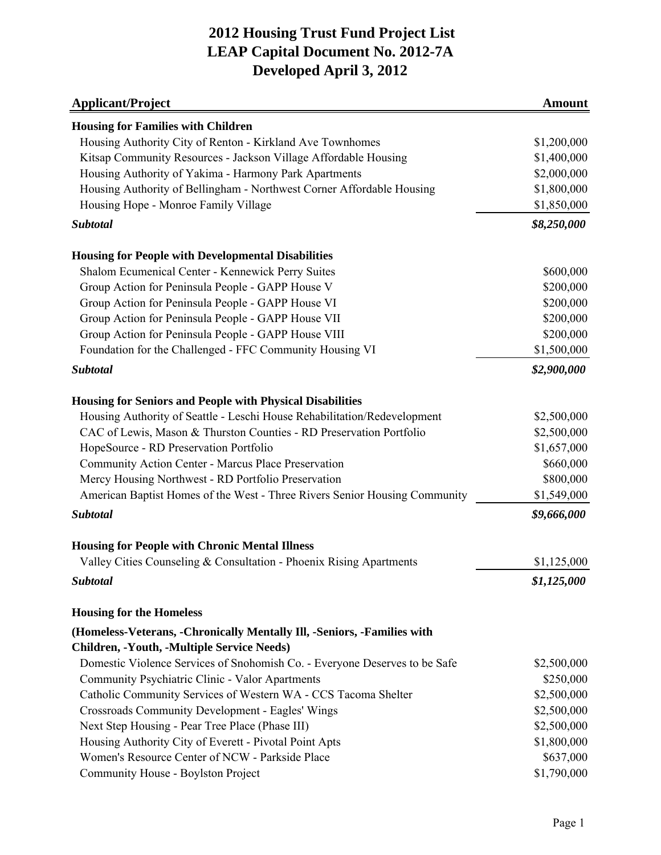| <b>Applicant/Project</b>                                                                                                     | <b>Amount</b> |
|------------------------------------------------------------------------------------------------------------------------------|---------------|
| <b>Housing for Families with Children</b>                                                                                    |               |
| Housing Authority City of Renton - Kirkland Ave Townhomes                                                                    | \$1,200,000   |
| Kitsap Community Resources - Jackson Village Affordable Housing                                                              | \$1,400,000   |
| Housing Authority of Yakima - Harmony Park Apartments                                                                        | \$2,000,000   |
| Housing Authority of Bellingham - Northwest Corner Affordable Housing                                                        | \$1,800,000   |
| Housing Hope - Monroe Family Village                                                                                         | \$1,850,000   |
| Subtotal                                                                                                                     | \$8,250,000   |
| <b>Housing for People with Developmental Disabilities</b>                                                                    |               |
| Shalom Ecumenical Center - Kennewick Perry Suites                                                                            | \$600,000     |
| Group Action for Peninsula People - GAPP House V                                                                             | \$200,000     |
| Group Action for Peninsula People - GAPP House VI                                                                            | \$200,000     |
| Group Action for Peninsula People - GAPP House VII                                                                           | \$200,000     |
| Group Action for Peninsula People - GAPP House VIII                                                                          | \$200,000     |
| Foundation for the Challenged - FFC Community Housing VI                                                                     | \$1,500,000   |
| <b>Subtotal</b>                                                                                                              | \$2,900,000   |
| <b>Housing for Seniors and People with Physical Disabilities</b>                                                             |               |
| Housing Authority of Seattle - Leschi House Rehabilitation/Redevelopment                                                     | \$2,500,000   |
| CAC of Lewis, Mason & Thurston Counties - RD Preservation Portfolio                                                          | \$2,500,000   |
| HopeSource - RD Preservation Portfolio                                                                                       | \$1,657,000   |
| Community Action Center - Marcus Place Preservation                                                                          | \$660,000     |
| Mercy Housing Northwest - RD Portfolio Preservation                                                                          | \$800,000     |
| American Baptist Homes of the West - Three Rivers Senior Housing Community                                                   | \$1,549,000   |
| <b>Subtotal</b>                                                                                                              | \$9,666,000   |
|                                                                                                                              |               |
| <b>Housing for People with Chronic Mental Illness</b><br>Valley Cities Counseling & Consultation - Phoenix Rising Apartments | \$1,125,000   |
| Subtotal                                                                                                                     | \$1,125,000   |
| <b>Housing for the Homeless</b>                                                                                              |               |
| (Homeless-Veterans, -Chronically Mentally III, -Seniors, -Families with                                                      |               |
| Children, -Youth, -Multiple Service Needs)                                                                                   |               |
| Domestic Violence Services of Snohomish Co. - Everyone Deserves to be Safe                                                   | \$2,500,000   |
| Community Psychiatric Clinic - Valor Apartments                                                                              | \$250,000     |
| Catholic Community Services of Western WA - CCS Tacoma Shelter                                                               | \$2,500,000   |
| Crossroads Community Development - Eagles' Wings                                                                             | \$2,500,000   |
| Next Step Housing - Pear Tree Place (Phase III)                                                                              | \$2,500,000   |
| Housing Authority City of Everett - Pivotal Point Apts                                                                       | \$1,800,000   |
| Women's Resource Center of NCW - Parkside Place                                                                              | \$637,000     |
| Community House - Boylston Project                                                                                           | \$1,790,000   |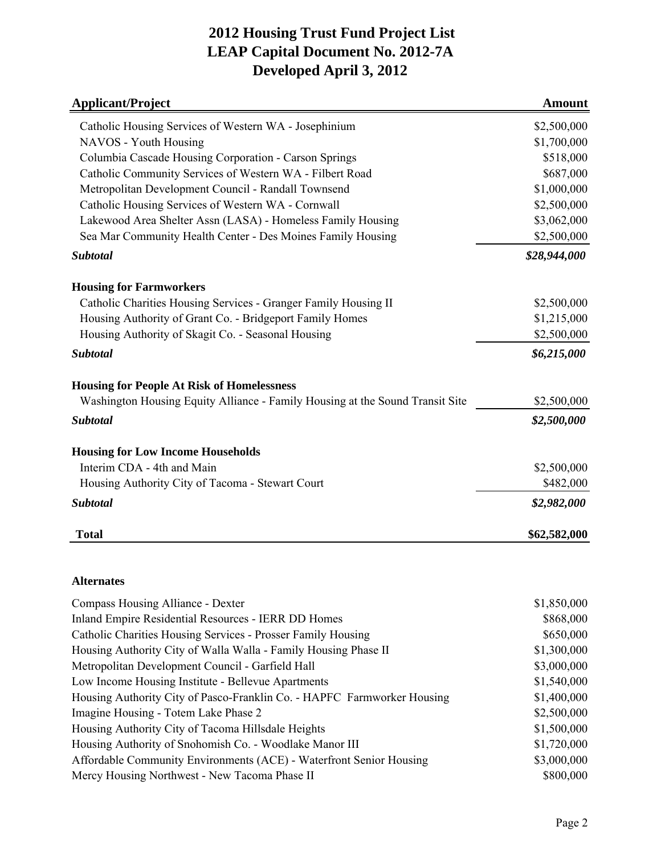| <b>Applicant/Project</b>                                                      | <b>Amount</b> |
|-------------------------------------------------------------------------------|---------------|
| Catholic Housing Services of Western WA - Josephinium                         | \$2,500,000   |
| NAVOS - Youth Housing                                                         | \$1,700,000   |
| Columbia Cascade Housing Corporation - Carson Springs                         | \$518,000     |
| Catholic Community Services of Western WA - Filbert Road                      | \$687,000     |
| Metropolitan Development Council - Randall Townsend                           | \$1,000,000   |
| Catholic Housing Services of Western WA - Cornwall                            | \$2,500,000   |
| Lakewood Area Shelter Assn (LASA) - Homeless Family Housing                   | \$3,062,000   |
| Sea Mar Community Health Center - Des Moines Family Housing                   | \$2,500,000   |
| <b>Subtotal</b>                                                               | \$28,944,000  |
| <b>Housing for Farmworkers</b>                                                |               |
| Catholic Charities Housing Services - Granger Family Housing II               | \$2,500,000   |
| Housing Authority of Grant Co. - Bridgeport Family Homes                      | \$1,215,000   |
| Housing Authority of Skagit Co. - Seasonal Housing                            | \$2,500,000   |
| <b>Subtotal</b>                                                               | \$6,215,000   |
| <b>Housing for People At Risk of Homelessness</b>                             |               |
| Washington Housing Equity Alliance - Family Housing at the Sound Transit Site | \$2,500,000   |
| <b>Subtotal</b>                                                               | \$2,500,000   |
| <b>Housing for Low Income Households</b>                                      |               |
| Interim CDA - 4th and Main                                                    | \$2,500,000   |
| Housing Authority City of Tacoma - Stewart Court                              | \$482,000     |
| <b>Subtotal</b>                                                               | \$2,982,000   |
| <b>Total</b>                                                                  | \$62,582,000  |
|                                                                               |               |
| <b>Alternates</b>                                                             |               |
| Compass Housing Alliance - Dexter                                             | \$1,850,000   |
| Inland Empire Residential Resources - IERR DD Homes                           | \$868,000     |
| Catholic Charities Housing Services - Prosser Family Housing                  | \$650,000     |

| Catholic Charities Housing Services - Prosser Family Housing            | \$650,000   |
|-------------------------------------------------------------------------|-------------|
| Housing Authority City of Walla Walla - Family Housing Phase II         | \$1,300,000 |
| Metropolitan Development Council - Garfield Hall                        | \$3,000,000 |
| Low Income Housing Institute - Bellevue Apartments                      | \$1,540,000 |
| Housing Authority City of Pasco-Franklin Co. - HAPFC Farmworker Housing | \$1,400,000 |
| Imagine Housing - Totem Lake Phase 2                                    | \$2,500,000 |
| Housing Authority City of Tacoma Hillsdale Heights                      | \$1,500,000 |
| Housing Authority of Snohomish Co. - Woodlake Manor III                 | \$1,720,000 |
| Affordable Community Environments (ACE) - Waterfront Senior Housing     | \$3,000,000 |
| Mercy Housing Northwest - New Tacoma Phase II                           | \$800,000   |
|                                                                         |             |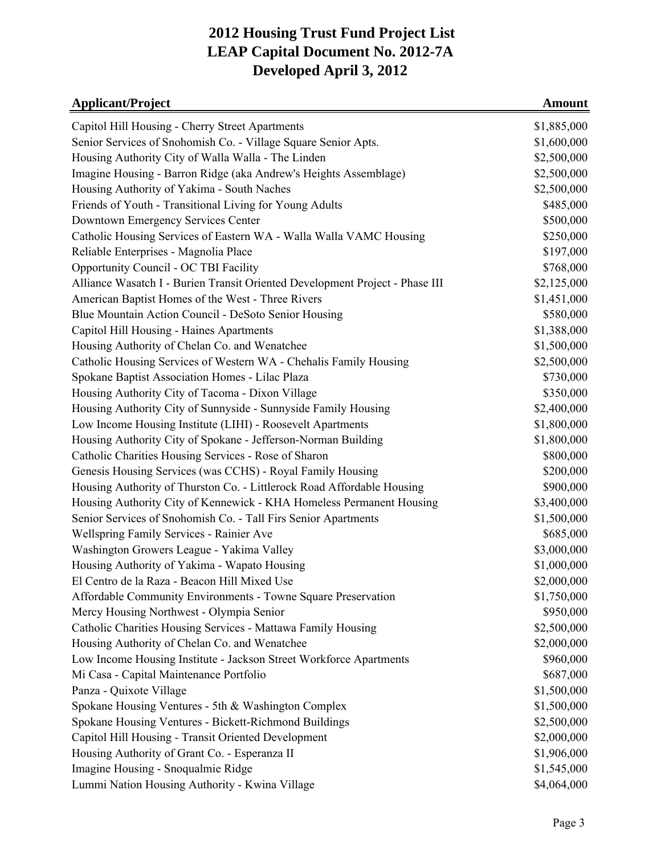| <b>Applicant/Project</b>                                                     | <b>Amount</b> |
|------------------------------------------------------------------------------|---------------|
| Capitol Hill Housing - Cherry Street Apartments                              | \$1,885,000   |
| Senior Services of Snohomish Co. - Village Square Senior Apts.               | \$1,600,000   |
| Housing Authority City of Walla Walla - The Linden                           | \$2,500,000   |
| Imagine Housing - Barron Ridge (aka Andrew's Heights Assemblage)             | \$2,500,000   |
| Housing Authority of Yakima - South Naches                                   | \$2,500,000   |
| Friends of Youth - Transitional Living for Young Adults                      | \$485,000     |
| Downtown Emergency Services Center                                           | \$500,000     |
| Catholic Housing Services of Eastern WA - Walla Walla VAMC Housing           | \$250,000     |
| Reliable Enterprises - Magnolia Place                                        | \$197,000     |
| Opportunity Council - OC TBI Facility                                        | \$768,000     |
| Alliance Wasatch I - Burien Transit Oriented Development Project - Phase III | \$2,125,000   |
| American Baptist Homes of the West - Three Rivers                            | \$1,451,000   |
| Blue Mountain Action Council - DeSoto Senior Housing                         | \$580,000     |
| Capitol Hill Housing - Haines Apartments                                     | \$1,388,000   |
| Housing Authority of Chelan Co. and Wenatchee                                | \$1,500,000   |
| Catholic Housing Services of Western WA - Chehalis Family Housing            | \$2,500,000   |
| Spokane Baptist Association Homes - Lilac Plaza                              | \$730,000     |
| Housing Authority City of Tacoma - Dixon Village                             | \$350,000     |
| Housing Authority City of Sunnyside - Sunnyside Family Housing               | \$2,400,000   |
| Low Income Housing Institute (LIHI) - Roosevelt Apartments                   | \$1,800,000   |
| Housing Authority City of Spokane - Jefferson-Norman Building                | \$1,800,000   |
| Catholic Charities Housing Services - Rose of Sharon                         | \$800,000     |
| Genesis Housing Services (was CCHS) - Royal Family Housing                   | \$200,000     |
| Housing Authority of Thurston Co. - Littlerock Road Affordable Housing       | \$900,000     |
| Housing Authority City of Kennewick - KHA Homeless Permanent Housing         | \$3,400,000   |
| Senior Services of Snohomish Co. - Tall Firs Senior Apartments               | \$1,500,000   |
| Wellspring Family Services - Rainier Ave                                     | \$685,000     |
| Washington Growers League - Yakima Valley                                    | \$3,000,000   |
| Housing Authority of Yakima - Wapato Housing                                 | \$1,000,000   |
| El Centro de la Raza - Beacon Hill Mixed Use                                 | \$2,000,000   |
| Affordable Community Environments - Towne Square Preservation                | \$1,750,000   |
| Mercy Housing Northwest - Olympia Senior                                     | \$950,000     |
| Catholic Charities Housing Services - Mattawa Family Housing                 | \$2,500,000   |
| Housing Authority of Chelan Co. and Wenatchee                                | \$2,000,000   |
| Low Income Housing Institute - Jackson Street Workforce Apartments           | \$960,000     |
| Mi Casa - Capital Maintenance Portfolio                                      | \$687,000     |
| Panza - Quixote Village                                                      | \$1,500,000   |
| Spokane Housing Ventures - 5th & Washington Complex                          | \$1,500,000   |
| Spokane Housing Ventures - Bickett-Richmond Buildings                        | \$2,500,000   |
| Capitol Hill Housing - Transit Oriented Development                          | \$2,000,000   |
| Housing Authority of Grant Co. - Esperanza II                                | \$1,906,000   |
| Imagine Housing - Snoqualmie Ridge                                           | \$1,545,000   |
| Lummi Nation Housing Authority - Kwina Village                               | \$4,064,000   |